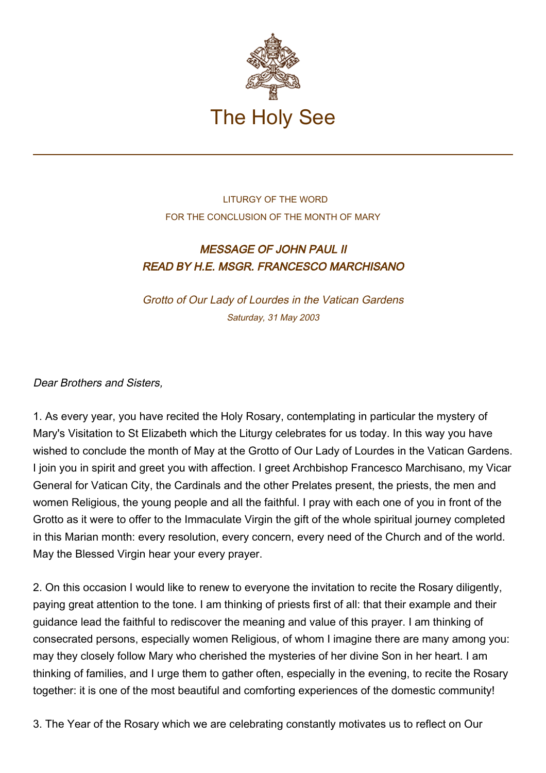

## LITURGY OF THE WORD FOR THE CONCLUSION OF THE MONTH OF MARY

## MESSAGE OF JOHN PAUL II READ BY H.E. MSGR. FRANCESCO MARCHISANO

Grotto of Our Lady of Lourdes in the Vatican Gardens Saturday, 31 May 2003

## Dear Brothers and Sisters,

1. As every year, you have recited the Holy Rosary, contemplating in particular the mystery of Mary's Visitation to St Elizabeth which the Liturgy celebrates for us today. In this way you have wished to conclude the month of May at the Grotto of Our Lady of Lourdes in the Vatican Gardens. I join you in spirit and greet you with affection. I greet Archbishop Francesco Marchisano, my Vicar General for Vatican City, the Cardinals and the other Prelates present, the priests, the men and women Religious, the young people and all the faithful. I pray with each one of you in front of the Grotto as it were to offer to the Immaculate Virgin the gift of the whole spiritual journey completed in this Marian month: every resolution, every concern, every need of the Church and of the world. May the Blessed Virgin hear your every prayer.

2. On this occasion I would like to renew to everyone the invitation to recite the Rosary diligently, paying great attention to the tone. I am thinking of priests first of all: that their example and their guidance lead the faithful to rediscover the meaning and value of this prayer. I am thinking of consecrated persons, especially women Religious, of whom I imagine there are many among you: may they closely follow Mary who cherished the mysteries of her divine Son in her heart. I am thinking of families, and I urge them to gather often, especially in the evening, to recite the Rosary together: it is one of the most beautiful and comforting experiences of the domestic community!

3. The Year of the Rosary which we are celebrating constantly motivates us to reflect on Our